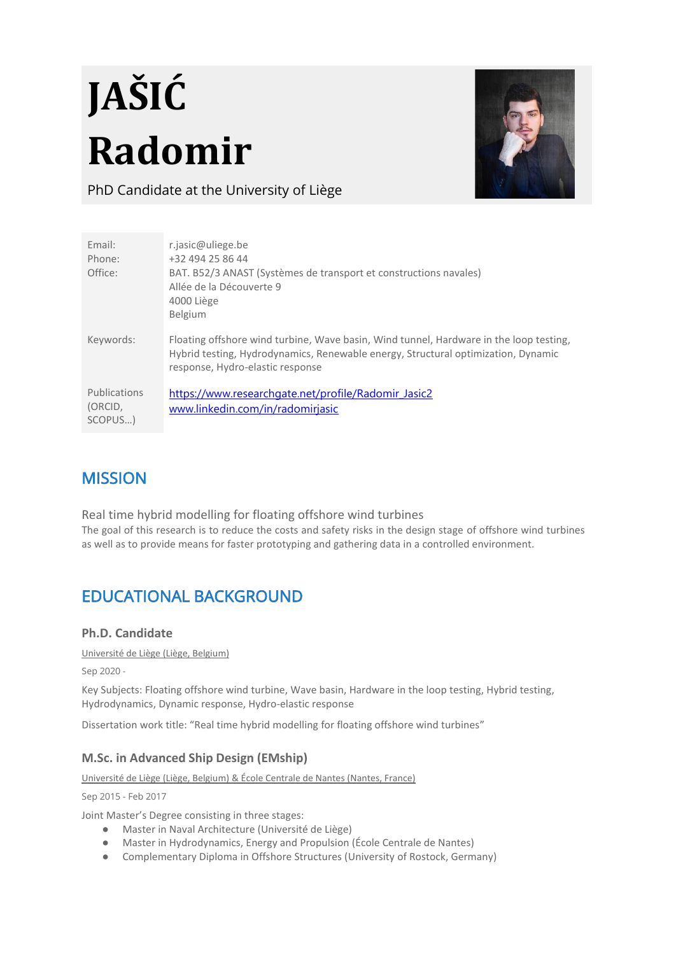# **JAŠIĆ Radomir**



PhD Candidate at the University of Liège

| Email:                             | r.jasic@uliege.be                                                                                                                                                                                               |
|------------------------------------|-----------------------------------------------------------------------------------------------------------------------------------------------------------------------------------------------------------------|
| Phone:                             | +32 494 25 86 44                                                                                                                                                                                                |
| Office:                            | BAT. B52/3 ANAST (Systèmes de transport et constructions navales)                                                                                                                                               |
|                                    | Allée de la Découverte 9<br>4000 Liège                                                                                                                                                                          |
|                                    | <b>Belgium</b>                                                                                                                                                                                                  |
| Keywords:                          | Floating offshore wind turbine, Wave basin, Wind tunnel, Hardware in the loop testing,<br>Hybrid testing, Hydrodynamics, Renewable energy, Structural optimization, Dynamic<br>response, Hydro-elastic response |
| Publications<br>(ORCID,<br>SCOPUS) | https://www.researchgate.net/profile/Radomir Jasic2<br>www.linkedin.com/in/radomirjasic                                                                                                                         |

## **MISSION**

Real time hybrid modelling for floating offshore wind turbines The goal of this research is to reduce the costs and safety risks in the design stage of offshore wind turbines as well as to provide means for faster prototyping and gathering data in a controlled environment.

# EDUCATIONAL BACKGROUND

## **Ph.D. Candidate**

Université de Liège (Liège, Belgium)

Sep 2020 -

Key Subjects: Floating offshore wind turbine, Wave basin, Hardware in the loop testing, Hybrid testing, Hydrodynamics, Dynamic response, Hydro-elastic response

Dissertation work title: "Real time hybrid modelling for floating offshore wind turbines"

## **M.Sc. in Advanced Ship Design (EMship)**

Université de Liège (Liège, Belgium) & École Centrale de Nantes (Nantes, France)

Sep 2015 - Feb 2017

Joint Master's Degree consisting in three stages:

- Master in Naval Architecture (Université de Liège)
- Master in Hydrodynamics, Energy and Propulsion (École Centrale de Nantes)
- Complementary Diploma in Offshore Structures (University of Rostock, Germany)